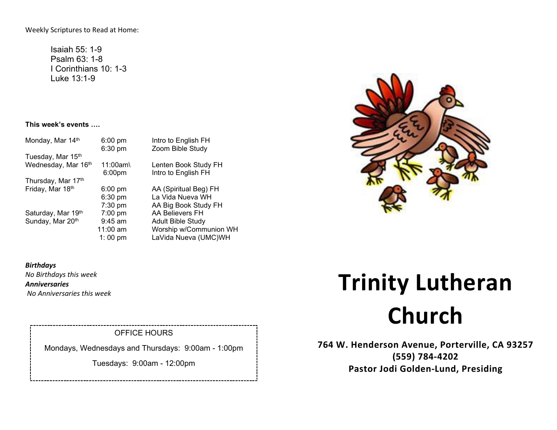Weekly Scriptures to Read at Home:

Isaiah 55: 1-9 Psalm 63: 1-8 I Corinthians 10: 1-3 Luke 13:1-9

#### **This week's events ….**

| Monday, Mar 14th    | $6:00$ pm          | Intro to English FH      |
|---------------------|--------------------|--------------------------|
|                     | 6:30 pm            | Zoom Bible Study         |
| Tuesday, Mar 15th   |                    |                          |
| Wednesday, Mar 16th | 11:00am\           | Lenten Book Study FH     |
|                     | 6:00 <sub>pm</sub> | Intro to English FH      |
| Thursday, Mar 17th  |                    |                          |
| Friday, Mar 18th    | $6:00$ pm          | AA (Spiritual Beg) FH    |
|                     | 6:30 pm            | La Vida Nueva WH         |
|                     | 7:30 pm            | AA Big Book Study FH     |
| Saturday, Mar 19th  | $7:00$ pm          | <b>AA Believers FH</b>   |
| Sunday, Mar 20th    | $9:45$ am          | <b>Adult Bible Study</b> |
|                     | $11:00$ am         | Worship w/Communion WH   |
|                     |                    |                          |

1: 00 pm LaVida Nueva (UMC)WH



*Birthdays No Birthdays this week Anniversaries No Anniversaries this week*

## OFFICE HOURS

Mondays, Wednesdays and Thursdays: 9:00am - 1:00pm

Tuesdays: 9:00am - 12:00pm

# **Trinity Lutheran Church**

**764 W. Henderson Avenue, Porterville, CA 93257 (559) 784-4202 Pastor Jodi Golden-Lund, Presiding**